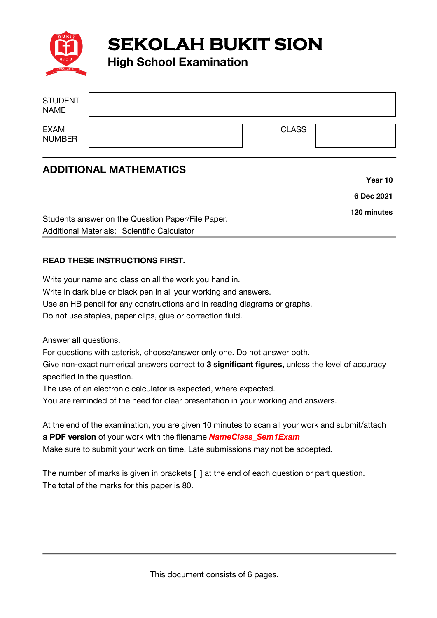

**SEKOLAH BUKIT SION** 

**High School Examination**

| <b>STUDENT</b><br><b>NAME</b> |              |  |
|-------------------------------|--------------|--|
| EXAM<br>NUMBER                | <b>CLASS</b> |  |

## **ADDITIONAL MATHEMATICS**

|                                                   | Year 10     |
|---------------------------------------------------|-------------|
|                                                   | 6 Dec 2021  |
| Students answer on the Question Paper/File Paper. | 120 minutes |
| Additional Materials: Scientific Calculator       |             |

## **READ THESE INSTRUCTIONS FIRST.**

Write your name and class on all the work you hand in. Write in dark blue or black pen in all your working and answers. Use an HB pencil for any constructions and in reading diagrams or graphs. Do not use staples, paper clips, glue or correction fluid.

Answer **all** questions.

For questions with asterisk, choose/answer only one. Do not answer both.

Give non-exact numerical answers correct to **3 significant figures,** unless the level of accuracy specified in the question.

The use of an electronic calculator is expected, where expected.

You are reminded of the need for clear presentation in your working and answers.

At the end of the examination, you are given 10 minutes to scan all your work and submit/attach **a PDF version** of your work with the filename *NameClass\_Sem1Exam* Make sure to submit your work on time. Late submissions may not be accepted.

The number of marks is given in brackets [ ] at the end of each question or part question. The total of the marks for this paper is 80.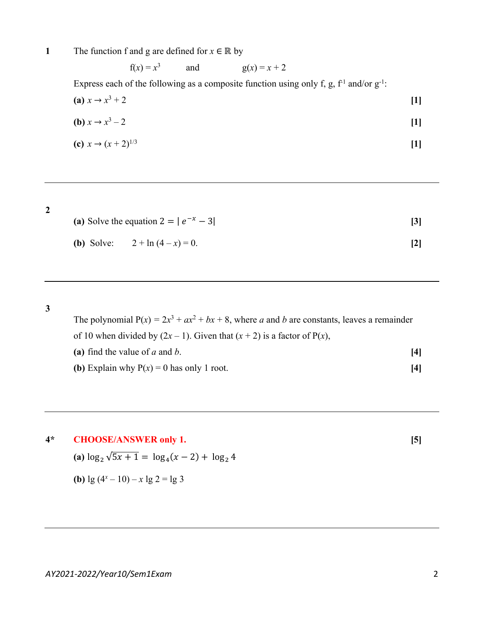**1** The function f and g are defined for  $x \in \mathbb{R}$  by

f(*x*) =  $x^3$  and g(*x*) =  $x + 2$ Express each of the following as a composite function using only f, g,  $f<sup>1</sup>$  and/or  $g<sup>-1</sup>$ : **(a)**  $x \to x^3 + 2$  [1] **(b)**  $x \to x^3 - 2$  [1] **(c)**  $x \to (x+2)^{1/3}$  [1]

**2**

| (a) Solve the equation $2 =  e^{-x} - 3 $ |                                            |  |  |
|-------------------------------------------|--------------------------------------------|--|--|
|                                           | ( <b>b</b> ) Solve: $2 + \ln(4 - x) = 0$ . |  |  |

**3**

The polynomial  $P(x) = 2x^3 + ax^2 + bx + 8$ , where *a* and *b* are constants, leaves a remainder of 10 when divided by  $(2x - 1)$ . Given that  $(x + 2)$  is a factor of P(*x*), **(a)** find the value of *a* and *b*. **[4] (b)** Explain why  $P(x) = 0$  has only 1 root. **[4]** 

**4\* CHOOSE/ANSWER only 1. [5]**

(a) 
$$
\log_2 \sqrt{5x+1} = \log_4 (x-2) + \log_2 4
$$

**(b)** 
$$
\lg (4^x - 10) - x \lg 2 = \lg 3
$$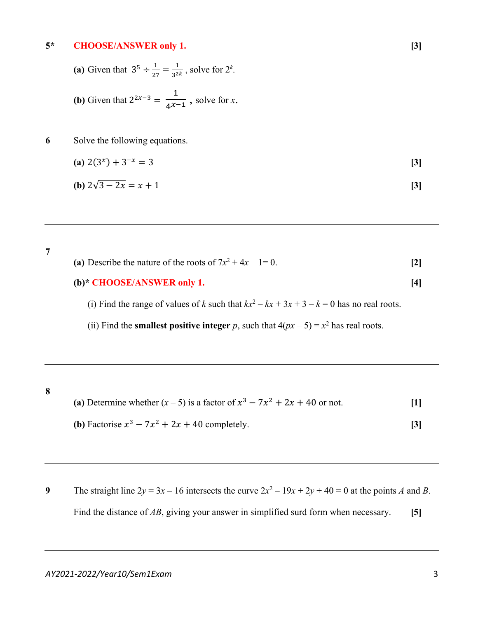## **5\* CHOOSE/ANSWER only 1. [3]**

- (a) Given that  $3^5 \div \frac{1}{27} = \frac{1}{3^{2k}}$ , solve for  $2^k$ .
- **(b)** Given that  $2^{2x-3} = \frac{1}{4^{x-1}}$ , solve for *x*.
- **6** Solve the following equations.

(a) 
$$
2(3^x) + 3^{-x} = 3
$$
 [3]  
(b)  $2\sqrt{3-2x} = x+1$  [3]

**7** (a) Describe the nature of the roots of  $7x^2 + 4x - 1 = 0$ . [2] **(b)\* CHOOSE/ANSWER only 1. [4]** (i) Find the range of values of *k* such that  $kx^2 - kx + 3x + 3 - k = 0$  has no real roots.

(ii) Find the **smallest positive integer** *p*, such that  $4(px - 5) = x^2$  has real roots.

**8**

- (a) Determine whether  $(x 5)$  is a factor of  $x^3 7x^2 + 2x + 40$  or not. [1]
- **(b)** Factorise  $x^3 7x^2 + 2x + 40$  completely. **[3]**
- **9** The straight line  $2y = 3x 16$  intersects the curve  $2x^2 19x + 2y + 40 = 0$  at the points *A* and *B*. Find the distance of *AB*, giving your answer in simplified surd form when necessary. **[5]**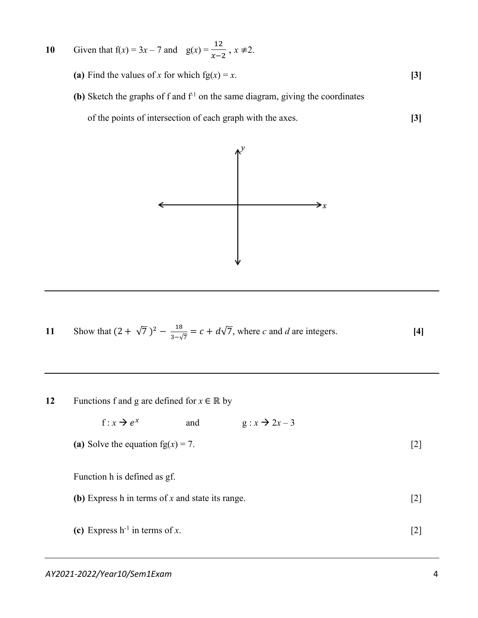10 Given that 
$$
f(x) = 3x - 7
$$
 and  $g(x) = \frac{12}{x - 2}$ ,  $x \ne 2$ .

- **(a)** Find the values of *x* for which  $fg(x) = x$ . **[3]**
- **(b)** Sketch the graphs of f and  $f^{-1}$  on the same diagram, giving the coordinates

of the points of intersection of each graph with the axes. **[3]**



11 Show that 
$$
(2 + \sqrt{7})^2 - \frac{18}{3-\sqrt{7}} = c + d\sqrt{7}
$$
, where *c* and *d* are integers. [4]

**12** Functions f and g are defined for  $x \in \mathbb{R}$  by

f :  $x \rightarrow e^x$  and  $g : x \rightarrow 2x - 3$ 

(a) Solve the equation fg( $x$ ) = 7. [2]

Function h is defined as gf.

- **(b)** Express h in terms of *x* and state its range. [2]
- (c) Express  $h^{-1}$  in terms of *x*. [2]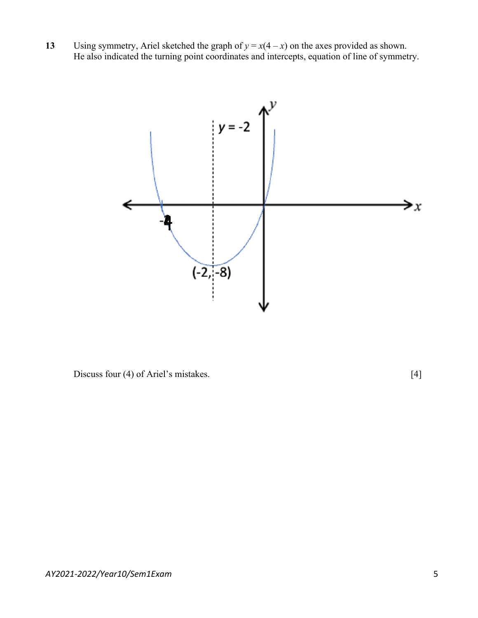**13** Using symmetry, Ariel sketched the graph of  $y = x(4 - x)$  on the axes provided as shown. He also indicated the turning point coordinates and intercepts, equation of line of symmetry.



Discuss four (4) of Ariel's mistakes. [4]